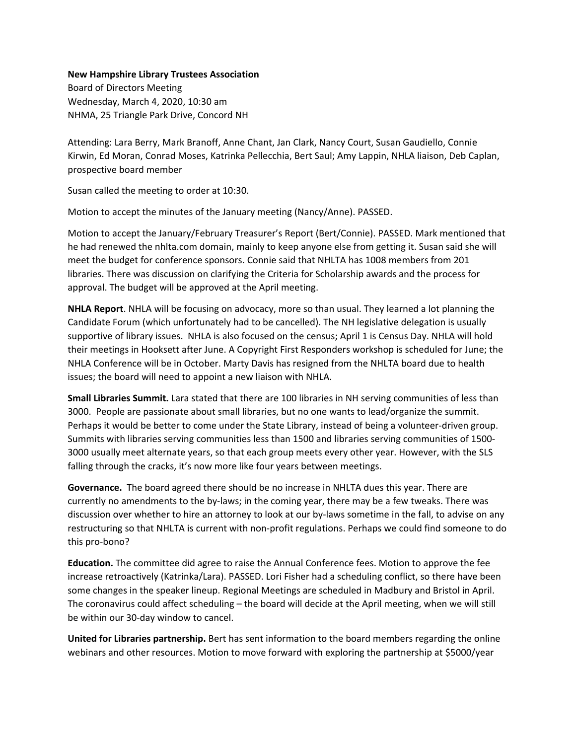## **New Hampshire Library Trustees Association**

Board of Directors Meeting Wednesday, March 4, 2020, 10:30 am NHMA, 25 Triangle Park Drive, Concord NH

Attending: Lara Berry, Mark Branoff, Anne Chant, Jan Clark, Nancy Court, Susan Gaudiello, Connie Kirwin, Ed Moran, Conrad Moses, Katrinka Pellecchia, Bert Saul; Amy Lappin, NHLA liaison, Deb Caplan, prospective board member

Susan called the meeting to order at 10:30.

Motion to accept the minutes of the January meeting (Nancy/Anne). PASSED.

Motion to accept the January/February Treasurer's Report (Bert/Connie). PASSED. Mark mentioned that he had renewed the nhlta.com domain, mainly to keep anyone else from getting it. Susan said she will meet the budget for conference sponsors. Connie said that NHLTA has 1008 members from 201 libraries. There was discussion on clarifying the Criteria for Scholarship awards and the process for approval. The budget will be approved at the April meeting.

**NHLA Report**. NHLA will be focusing on advocacy, more so than usual. They learned a lot planning the Candidate Forum (which unfortunately had to be cancelled). The NH legislative delegation is usually supportive of library issues. NHLA is also focused on the census; April 1 is Census Day. NHLA will hold their meetings in Hooksett after June. A Copyright First Responders workshop is scheduled for June; the NHLA Conference will be in October. Marty Davis has resigned from the NHLTA board due to health issues; the board will need to appoint a new liaison with NHLA.

**Small Libraries Summit.** Lara stated that there are 100 libraries in NH serving communities of less than 3000. People are passionate about small libraries, but no one wants to lead/organize the summit. Perhaps it would be better to come under the State Library, instead of being a volunteer-driven group. Summits with libraries serving communities less than 1500 and libraries serving communities of 1500- 3000 usually meet alternate years, so that each group meets every other year. However, with the SLS falling through the cracks, it's now more like four years between meetings.

**Governance.** The board agreed there should be no increase in NHLTA dues this year. There are currently no amendments to the by-laws; in the coming year, there may be a few tweaks. There was discussion over whether to hire an attorney to look at our by-laws sometime in the fall, to advise on any restructuring so that NHLTA is current with non-profit regulations. Perhaps we could find someone to do this pro-bono?

**Education.** The committee did agree to raise the Annual Conference fees. Motion to approve the fee increase retroactively (Katrinka/Lara). PASSED. Lori Fisher had a scheduling conflict, so there have been some changes in the speaker lineup. Regional Meetings are scheduled in Madbury and Bristol in April. The coronavirus could affect scheduling – the board will decide at the April meeting, when we will still be within our 30-day window to cancel.

**United for Libraries partnership.** Bert has sent information to the board members regarding the online webinars and other resources. Motion to move forward with exploring the partnership at \$5000/year